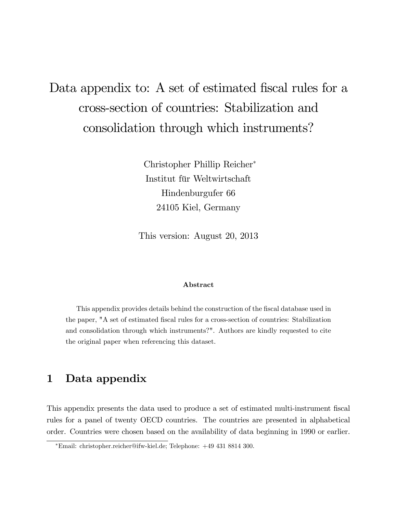# Data appendix to: A set of estimated fiscal rules for a cross-section of countries: Stabilization and consolidation through which instruments?

Christopher Phillip Reicher Institut für Weltwirtschaft Hindenburgufer 66 24105 Kiel, Germany

This version: August 20, 2013

#### Abstract

This appendix provides details behind the construction of the Öscal database used in the paper, "A set of estimated Öscal rules for a cross-section of countries: Stabilization and consolidation through which instruments?". Authors are kindly requested to cite the original paper when referencing this dataset.

# 1 Data appendix

This appendix presents the data used to produce a set of estimated multi-instrument fiscal rules for a panel of twenty OECD countries. The countries are presented in alphabetical order. Countries were chosen based on the availability of data beginning in 1990 or earlier.

Email: christopher.reicher@ifw-kiel.de; Telephone: +49 431 8814 300.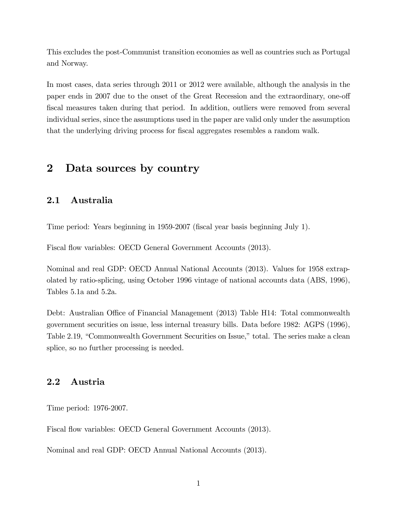This excludes the post-Communist transition economies as well as countries such as Portugal and Norway.

In most cases, data series through 2011 or 2012 were available, although the analysis in the paper ends in 2007 due to the onset of the Great Recession and the extraordinary, one-off fiscal measures taken during that period. In addition, outliers were removed from several individual series, since the assumptions used in the paper are valid only under the assumption that the underlying driving process for fiscal aggregates resembles a random walk.

# 2 Data sources by country

## 2.1 Australia

Time period: Years beginning in 1959-2007 (Öscal year basis beginning July 1).

Fiscal flow variables: OECD General Government Accounts (2013).

Nominal and real GDP: OECD Annual National Accounts (2013). Values for 1958 extrapolated by ratio-splicing, using October 1996 vintage of national accounts data (ABS, 1996), Tables 5.1a and 5.2a.

Debt: Australian Office of Financial Management (2013) Table H14: Total commonwealth government securities on issue, less internal treasury bills. Data before 1982: AGPS (1996), Table 2.19, "Commonwealth Government Securities on Issue," total. The series make a clean splice, so no further processing is needed.

## 2.2 Austria

Time period: 1976-2007.

Fiscal flow variables: OECD General Government Accounts (2013).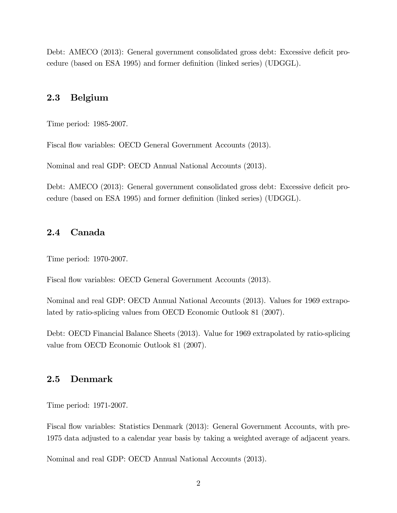Debt: AMECO (2013): General government consolidated gross debt: Excessive deficit procedure (based on ESA 1995) and former definition (linked series) (UDGGL).

#### 2.3 Belgium

Time period: 1985-2007.

Fiscal flow variables: OECD General Government Accounts (2013).

Nominal and real GDP: OECD Annual National Accounts (2013).

Debt: AMECO (2013): General government consolidated gross debt: Excessive deficit procedure (based on ESA 1995) and former definition (linked series) (UDGGL).

# 2.4 Canada

Time period: 1970-2007.

Fiscal flow variables: OECD General Government Accounts (2013).

Nominal and real GDP: OECD Annual National Accounts (2013). Values for 1969 extrapolated by ratio-splicing values from OECD Economic Outlook 81 (2007).

Debt: OECD Financial Balance Sheets (2013). Value for 1969 extrapolated by ratio-splicing value from OECD Economic Outlook 81 (2007).

#### 2.5 Denmark

Time period: 1971-2007.

Fiscal flow variables: Statistics Denmark (2013): General Government Accounts, with pre-1975 data adjusted to a calendar year basis by taking a weighted average of adjacent years.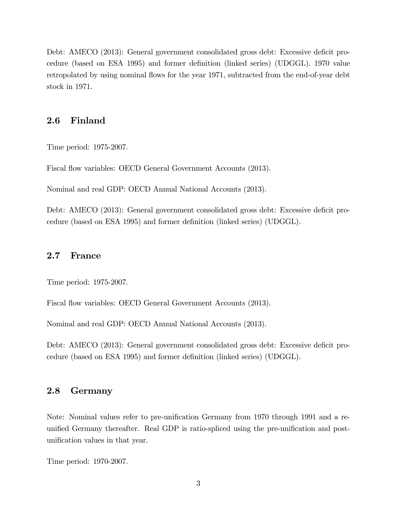Debt: AMECO (2013): General government consolidated gross debt: Excessive deficit procedure (based on ESA 1995) and former definition (linked series) (UDGGL). 1970 value retropolated by using nominal flows for the year 1971, subtracted from the end-of-year debt stock in 1971.

#### 2.6 Finland

Time period: 1975-2007.

Fiscal flow variables: OECD General Government Accounts (2013).

Nominal and real GDP: OECD Annual National Accounts (2013).

Debt: AMECO (2013): General government consolidated gross debt: Excessive deficit procedure (based on ESA 1995) and former definition (linked series) (UDGGL).

#### 2.7 France

Time period: 1975-2007.

Fiscal flow variables: OECD General Government Accounts (2013).

Nominal and real GDP: OECD Annual National Accounts (2013).

Debt: AMECO (2013): General government consolidated gross debt: Excessive deficit procedure (based on ESA 1995) and former definition (linked series) (UDGGL).

# 2.8 Germany

Note: Nominal values refer to pre-unification Germany from 1970 through 1991 and a reunified Germany thereafter. Real GDP is ratio-spliced using the pre-unification and postunification values in that year.

Time period: 1970-2007.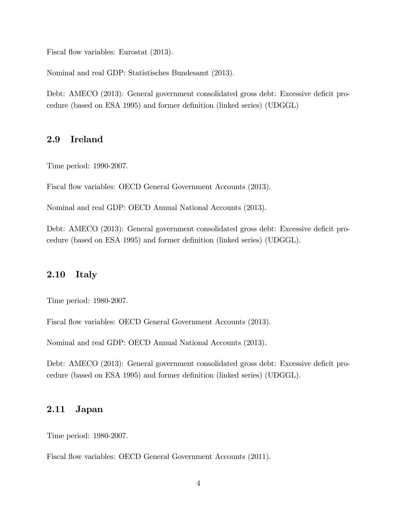Fiscal flow variables: Eurostat  $(2013)$ .

Nominal and real GDP: Statistisches Bundesamt (2013).

Debt: AMECO (2013): General government consolidated gross debt: Excessive deficit procedure (based on ESA 1995) and former definition (linked series) (UDGGL)

#### 2.9 Ireland

Time period: 1990-2007.

Fiscal flow variables: OECD General Government Accounts (2013).

Nominal and real GDP: OECD Annual National Accounts (2013).

Debt: AMECO (2013): General government consolidated gross debt: Excessive deficit procedure (based on ESA 1995) and former definition (linked series) (UDGGL).

# 2.10 Italy

Time period: 1980-2007.

Fiscal flow variables: OECD General Government Accounts (2013).

Nominal and real GDP: OECD Annual National Accounts (2013).

Debt: AMECO (2013): General government consolidated gross debt: Excessive deficit procedure (based on ESA 1995) and former definition (linked series) (UDGGL).

#### 2.11 Japan

Time period: 1980-2007.

Fiscal flow variables: OECD General Government Accounts (2011).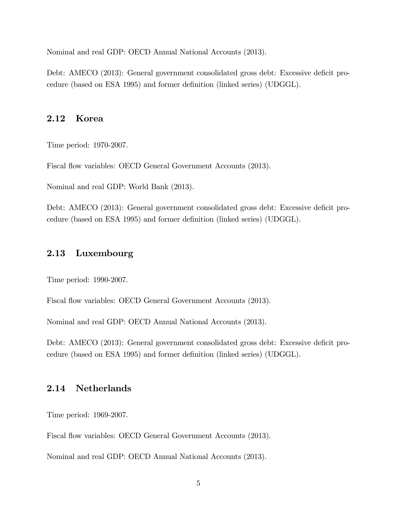Nominal and real GDP: OECD Annual National Accounts (2013).

Debt: AMECO (2013): General government consolidated gross debt: Excessive deficit procedure (based on ESA 1995) and former definition (linked series) (UDGGL).

#### 2.12 Korea

Time period: 1970-2007.

Fiscal flow variables: OECD General Government Accounts (2013).

Nominal and real GDP: World Bank (2013).

Debt: AMECO (2013): General government consolidated gross debt: Excessive deficit procedure (based on ESA 1995) and former definition (linked series) (UDGGL).

#### 2.13 Luxembourg

Time period: 1990-2007.

Fiscal flow variables: OECD General Government Accounts (2013).

Nominal and real GDP: OECD Annual National Accounts (2013).

Debt: AMECO (2013): General government consolidated gross debt: Excessive deficit procedure (based on ESA 1995) and former definition (linked series) (UDGGL).

# 2.14 Netherlands

Time period: 1969-2007.

Fiscal flow variables: OECD General Government Accounts (2013).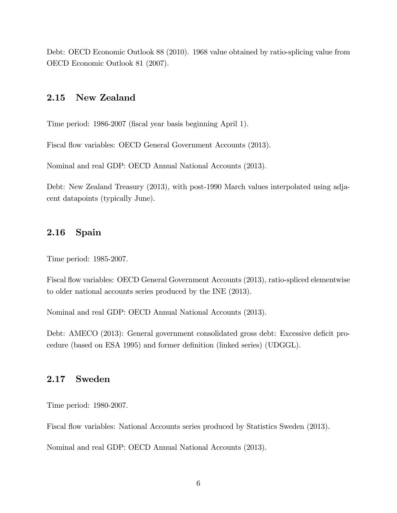Debt: OECD Economic Outlook 88 (2010). 1968 value obtained by ratio-splicing value from OECD Economic Outlook 81 (2007).

#### 2.15 New Zealand

Time period: 1986-2007 (fiscal year basis beginning April 1).

Fiscal flow variables: OECD General Government Accounts (2013).

Nominal and real GDP: OECD Annual National Accounts (2013).

Debt: New Zealand Treasury (2013), with post-1990 March values interpolated using adjacent datapoints (typically June).

#### 2.16 Spain

Time period: 1985-2007.

Fiscal flow variables: OECD General Government Accounts (2013), ratio-spliced elementwise to older national accounts series produced by the INE (2013).

Nominal and real GDP: OECD Annual National Accounts (2013).

Debt: AMECO (2013): General government consolidated gross debt: Excessive deficit procedure (based on ESA 1995) and former definition (linked series) (UDGGL).

## 2.17 Sweden

Time period: 1980-2007.

Fiscal flow variables: National Accounts series produced by Statistics Sweden (2013).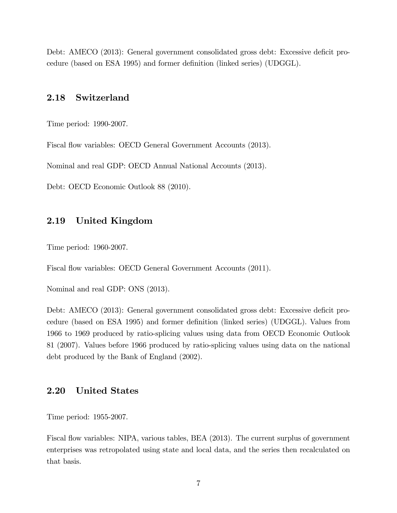Debt: AMECO (2013): General government consolidated gross debt: Excessive deficit procedure (based on ESA 1995) and former definition (linked series) (UDGGL).

## 2.18 Switzerland

Time period: 1990-2007.

Fiscal flow variables: OECD General Government Accounts (2013).

Nominal and real GDP: OECD Annual National Accounts (2013).

Debt: OECD Economic Outlook 88 (2010).

#### 2.19 United Kingdom

Time period: 1960-2007.

Fiscal flow variables: OECD General Government Accounts (2011).

Nominal and real GDP: ONS (2013).

Debt: AMECO (2013): General government consolidated gross debt: Excessive deficit procedure (based on ESA 1995) and former definition (linked series) (UDGGL). Values from 1966 to 1969 produced by ratio-splicing values using data from OECD Economic Outlook 81 (2007). Values before 1966 produced by ratio-splicing values using data on the national debt produced by the Bank of England (2002).

#### 2.20 United States

Time period: 1955-2007.

Fiscal flow variables: NIPA, various tables, BEA (2013). The current surplus of government enterprises was retropolated using state and local data, and the series then recalculated on that basis.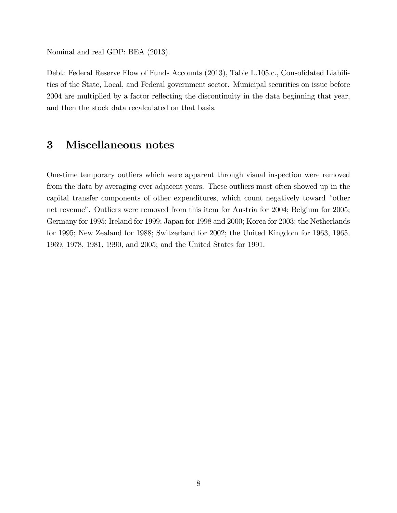Nominal and real GDP: BEA (2013).

Debt: Federal Reserve Flow of Funds Accounts (2013), Table L.105.c., Consolidated Liabilities of the State, Local, and Federal government sector. Municipal securities on issue before 2004 are multiplied by a factor reflecting the discontinuity in the data beginning that year, and then the stock data recalculated on that basis.

# 3 Miscellaneous notes

One-time temporary outliers which were apparent through visual inspection were removed from the data by averaging over adjacent years. These outliers most often showed up in the capital transfer components of other expenditures, which count negatively toward "other net revenue". Outliers were removed from this item for Austria for 2004; Belgium for 2005; Germany for 1995; Ireland for 1999; Japan for 1998 and 2000; Korea for 2003; the Netherlands for 1995; New Zealand for 1988; Switzerland for 2002; the United Kingdom for 1963, 1965, 1969, 1978, 1981, 1990, and 2005; and the United States for 1991.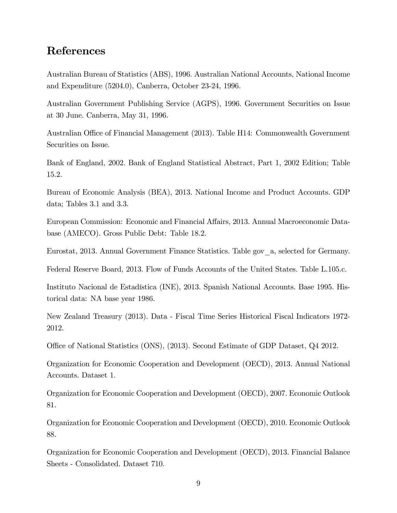# References

Australian Bureau of Statistics (ABS), 1996. Australian National Accounts, National Income and Expenditure (5204.0), Canberra, October 23-24, 1996.

Australian Government Publishing Service (AGPS), 1996. Government Securities on Issue at 30 June. Canberra, May 31, 1996.

Australian Office of Financial Management (2013). Table H14: Commonwealth Government Securities on Issue.

Bank of England, 2002. Bank of England Statistical Abstract, Part 1, 2002 Edition; Table 15.2.

Bureau of Economic Analysis (BEA), 2013. National Income and Product Accounts. GDP data; Tables 3.1 and 3.3.

European Commission: Economic and Financial Affairs, 2013. Annual Macroeconomic Database (AMECO). Gross Public Debt: Table 18.2.

Eurostat, 2013. Annual Government Finance Statistics. Table gov\_a, selected for Germany.

Federal Reserve Board, 2013. Flow of Funds Accounts of the United States. Table L.105.c.

Instituto Nacional de Estadística (INE), 2013. Spanish National Accounts. Base 1995. Historical data: NA base year 1986.

New Zealand Treasury (2013). Data - Fiscal Time Series Historical Fiscal Indicators 1972- 2012.

Office of National Statistics (ONS), (2013). Second Estimate of GDP Dataset, Q4 2012.

Organization for Economic Cooperation and Development (OECD), 2013. Annual National Accounts. Dataset 1.

Organization for Economic Cooperation and Development (OECD), 2007. Economic Outlook 81.

Organization for Economic Cooperation and Development (OECD), 2010. Economic Outlook 88.

Organization for Economic Cooperation and Development (OECD), 2013. Financial Balance Sheets - Consolidated. Dataset 710.